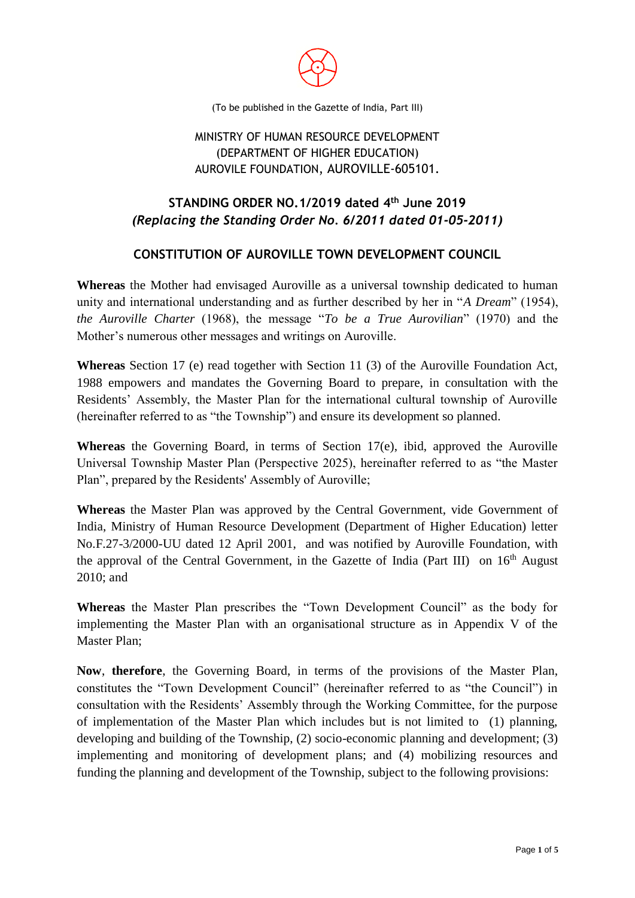

(To be published in the Gazette of India, Part III)

# MINISTRY OF HUMAN RESOURCE DEVELOPMENT (DEPARTMENT OF HIGHER EDUCATION) AUROVILE FOUNDATION, AUROVILLE-605101.

# **STANDING ORDER NO.1/2019 dated 4 th June 2019** *(Replacing the Standing Order No. 6/2011 dated 01-05-2011)*

# **CONSTITUTION OF AUROVILLE TOWN DEVELOPMENT COUNCIL**

**Whereas** the Mother had envisaged Auroville as a universal township dedicated to human unity and international understanding and as further described by her in "*A Dream*" (1954), *the Auroville Charter* (1968), the message "*To be a True Aurovilian*" (1970) and the Mother's numerous other messages and writings on Auroville.

**Whereas** Section 17 (e) read together with Section 11 (3) of the Auroville Foundation Act, 1988 empowers and mandates the Governing Board to prepare, in consultation with the Residents' Assembly, the Master Plan for the international cultural township of Auroville (hereinafter referred to as "the Township") and ensure its development so planned.

**Whereas** the Governing Board, in terms of Section 17(e), ibid, approved the Auroville Universal Township Master Plan (Perspective 2025), hereinafter referred to as "the Master Plan", prepared by the Residents' Assembly of Auroville;

**Whereas** the Master Plan was approved by the Central Government, vide Government of India, Ministry of Human Resource Development (Department of Higher Education) letter No.F.27-3/2000-UU dated 12 April 2001, and was notified by Auroville Foundation, with the approval of the Central Government, in the Gazette of India (Part III) on  $16<sup>th</sup>$  August 2010; and

**Whereas** the Master Plan prescribes the "Town Development Council" as the body for implementing the Master Plan with an organisational structure as in Appendix V of the Master Plan;

**Now**, **therefore**, the Governing Board, in terms of the provisions of the Master Plan, constitutes the "Town Development Council" (hereinafter referred to as "the Council") in consultation with the Residents' Assembly through the Working Committee, for the purpose of implementation of the Master Plan which includes but is not limited to (1) planning, developing and building of the Township, (2) socio-economic planning and development; (3) implementing and monitoring of development plans; and (4) mobilizing resources and funding the planning and development of the Township, subject to the following provisions: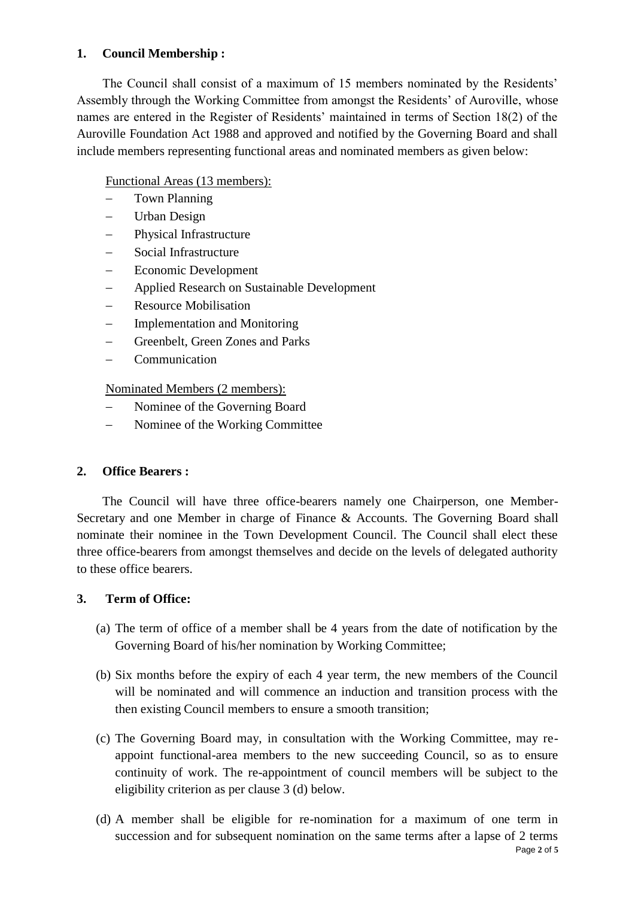## **1. Council Membership :**

The Council shall consist of a maximum of 15 members nominated by the Residents' Assembly through the Working Committee from amongst the Residents' of Auroville, whose names are entered in the Register of Residents' maintained in terms of Section 18(2) of the Auroville Foundation Act 1988 and approved and notified by the Governing Board and shall include members representing functional areas and nominated members as given below:

# Functional Areas (13 members):

- Town Planning
- Urban Design
- Physical Infrastructure
- Social Infrastructure
- Economic Development
- Applied Research on Sustainable Development
- Resource Mobilisation
- Implementation and Monitoring
- Greenbelt, Green Zones and Parks
- Communication

Nominated Members (2 members):

- Nominee of the Governing Board
- Nominee of the Working Committee

## **2. Office Bearers :**

The Council will have three office-bearers namely one Chairperson, one Member-Secretary and one Member in charge of Finance & Accounts. The Governing Board shall nominate their nominee in the Town Development Council. The Council shall elect these three office-bearers from amongst themselves and decide on the levels of delegated authority to these office bearers.

## **3. Term of Office:**

- (a) The term of office of a member shall be 4 years from the date of notification by the Governing Board of his/her nomination by Working Committee;
- (b) Six months before the expiry of each 4 year term, the new members of the Council will be nominated and will commence an induction and transition process with the then existing Council members to ensure a smooth transition;
- (c) The Governing Board may, in consultation with the Working Committee, may reappoint functional-area members to the new succeeding Council, so as to ensure continuity of work. The re-appointment of council members will be subject to the eligibility criterion as per clause 3 (d) below.
- Page **2** of **5** (d) A member shall be eligible for re-nomination for a maximum of one term in succession and for subsequent nomination on the same terms after a lapse of 2 terms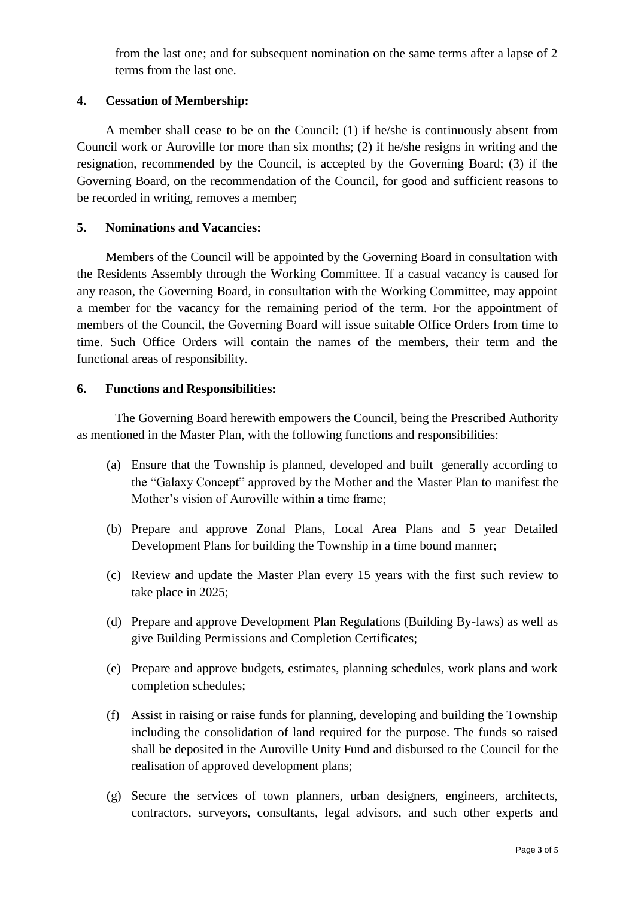from the last one; and for subsequent nomination on the same terms after a lapse of 2 terms from the last one.

### **4. Cessation of Membership:**

A member shall cease to be on the Council: (1) if he/she is continuously absent from Council work or Auroville for more than six months; (2) if he/she resigns in writing and the resignation, recommended by the Council, is accepted by the Governing Board; (3) if the Governing Board, on the recommendation of the Council, for good and sufficient reasons to be recorded in writing, removes a member;

#### **5. Nominations and Vacancies:**

Members of the Council will be appointed by the Governing Board in consultation with the Residents Assembly through the Working Committee. If a casual vacancy is caused for any reason, the Governing Board, in consultation with the Working Committee, may appoint a member for the vacancy for the remaining period of the term. For the appointment of members of the Council, the Governing Board will issue suitable Office Orders from time to time. Such Office Orders will contain the names of the members, their term and the functional areas of responsibility.

### **6. Functions and Responsibilities:**

The Governing Board herewith empowers the Council, being the Prescribed Authority as mentioned in the Master Plan, with the following functions and responsibilities:

- (a) Ensure that the Township is planned, developed and built generally according to the "Galaxy Concept" approved by the Mother and the Master Plan to manifest the Mother's vision of Auroville within a time frame;
- (b) Prepare and approve Zonal Plans, Local Area Plans and 5 year Detailed Development Plans for building the Township in a time bound manner;
- (c) Review and update the Master Plan every 15 years with the first such review to take place in 2025;
- (d) Prepare and approve Development Plan Regulations (Building By-laws) as well as give Building Permissions and Completion Certificates;
- (e) Prepare and approve budgets, estimates, planning schedules, work plans and work completion schedules;
- (f) Assist in raising or raise funds for planning, developing and building the Township including the consolidation of land required for the purpose. The funds so raised shall be deposited in the Auroville Unity Fund and disbursed to the Council for the realisation of approved development plans;
- (g) Secure the services of town planners, urban designers, engineers, architects, contractors, surveyors, consultants, legal advisors, and such other experts and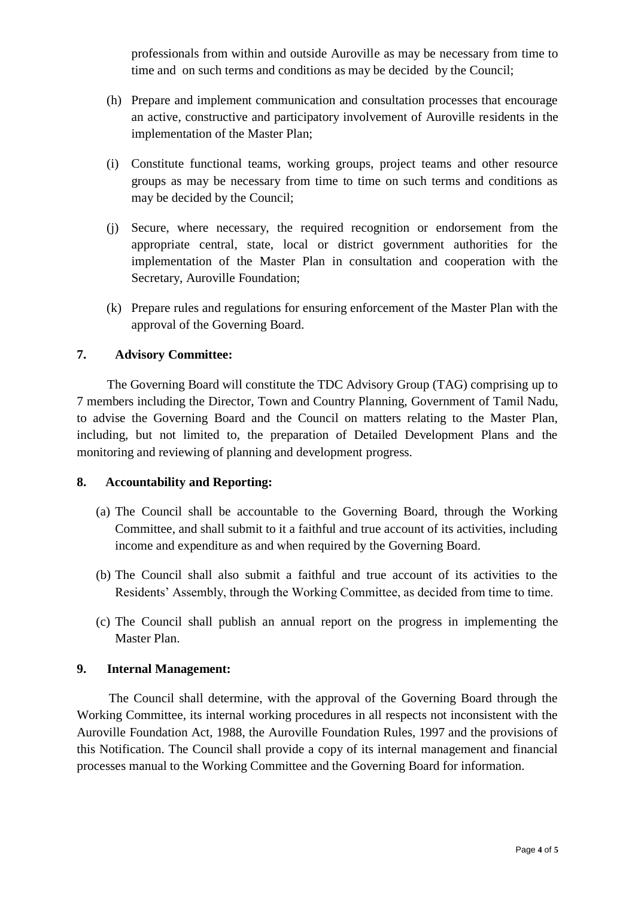professionals from within and outside Auroville as may be necessary from time to time and on such terms and conditions as may be decided by the Council;

- (h) Prepare and implement communication and consultation processes that encourage an active, constructive and participatory involvement of Auroville residents in the implementation of the Master Plan;
- (i) Constitute functional teams, working groups, project teams and other resource groups as may be necessary from time to time on such terms and conditions as may be decided by the Council;
- (j) Secure, where necessary, the required recognition or endorsement from the appropriate central, state, local or district government authorities for the implementation of the Master Plan in consultation and cooperation with the Secretary, Auroville Foundation;
- (k) Prepare rules and regulations for ensuring enforcement of the Master Plan with the approval of the Governing Board.

### **7. Advisory Committee:**

The Governing Board will constitute the TDC Advisory Group (TAG) comprising up to 7 members including the Director, Town and Country Planning, Government of Tamil Nadu, to advise the Governing Board and the Council on matters relating to the Master Plan, including, but not limited to, the preparation of Detailed Development Plans and the monitoring and reviewing of planning and development progress.

#### **8. Accountability and Reporting:**

- (a) The Council shall be accountable to the Governing Board, through the Working Committee, and shall submit to it a faithful and true account of its activities, including income and expenditure as and when required by the Governing Board.
- (b) The Council shall also submit a faithful and true account of its activities to the Residents' Assembly, through the Working Committee, as decided from time to time.
- (c) The Council shall publish an annual report on the progress in implementing the Master Plan.

#### **9. Internal Management:**

The Council shall determine, with the approval of the Governing Board through the Working Committee, its internal working procedures in all respects not inconsistent with the Auroville Foundation Act, 1988, the Auroville Foundation Rules, 1997 and the provisions of this Notification. The Council shall provide a copy of its internal management and financial processes manual to the Working Committee and the Governing Board for information.